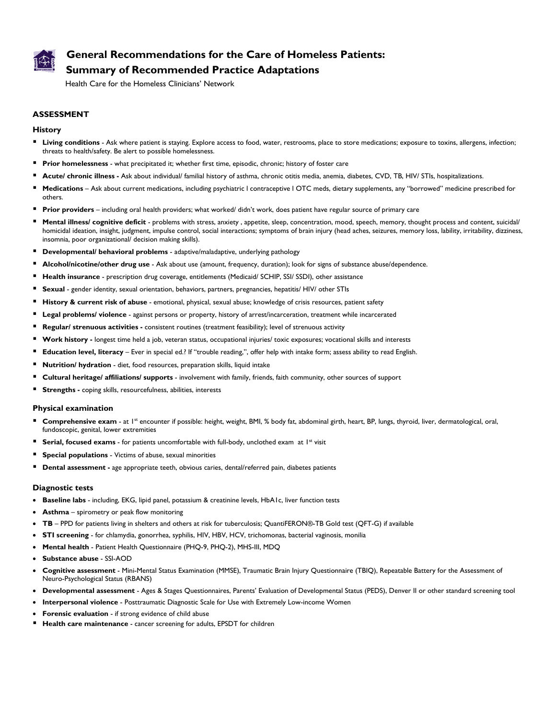

# **General Recommendations for the Care of Homeless Patients: Summary of Recommended Practice Adaptations**

Health Care for the Homeless Clinicians' Network

# **ASSESSMENT**

#### **History**

- **Living conditions** Ask where patient is staying. Explore access to food, water, restrooms, place to store medications; exposure to toxins, allergens, infection; threats to health/safety. Be alert to possible homelessness.
- **Prior homelessness** what precipitated it; whether first time, episodic, chronic; history of foster care
- **Acute/ chronic illness -** Ask about individual/ familial history of asthma, chronic otitis media, anemia, diabetes, CVD, TB, HIV/ STIs, hospitalizations.
- **Medications**  Ask about current medications, including psychiatric l contraceptive l OTC meds, dietary supplements, any "borrowed" medicine prescribed for others.
- **Prior providers** including oral health providers; what worked/ didn't work, does patient have regular source of primary care
- **Mental illness/ cognitive deficit** problems with stress, anxiety , appetite, sleep, concentration, mood, speech, memory, thought process and content, suicidal/ homicidal ideation, insight, judgment, impulse control, social interactions; symptoms of brain injury (head aches, seizures, memory loss, lability, irritability, dizziness, insomnia, poor organizational/ decision making skills).
- **Developmental/ behavioral problems** adaptive/maladaptive, underlying pathology
- **Alcohol/nicotine/other drug use** Ask about use (amount, frequency, duration); look for signs of substance abuse/dependence.
- **Health insurance**  prescription drug coverage, entitlements (Medicaid/ SCHIP, SSI/ SSDI), other assistance
- **Sexual**  gender identity, sexual orientation, behaviors, partners, pregnancies, hepatitis/ HIV/ other STIs
- **History & current risk of abuse** emotional, physical, sexual abuse; knowledge of crisis resources, patient safety
- **Legal problems/ violence**  against persons or property, history of arrest/incarceration, treatment while incarcerated
- **Regular/ strenuous activities** consistent routines (treatment feasibility); level of strenuous activity
- **Work history -** longest time held a job, veteran status, occupational injuries/ toxic exposures; vocational skills and interests
- **Education level, literacy** Ever in special ed.? If "trouble reading,", offer help with intake form; assess ability to read English.
- **Nutrition/ hydration**  diet, food resources, preparation skills, liquid intake
- **Cultural heritage/ affiliations/ supports**  involvement with family, friends, faith community, other sources of support
- **Strengths** coping skills, resourcefulness, abilities, interests

#### **Physical examination**

- **Comprehensive exam** at 1<sup>st</sup> encounter if possible: height, weight, BMI, % body fat, abdominal girth, heart, BP, lungs, thyroid, liver, dermatological, oral, fundoscopic, genital, lower extremities
- **Serial, focused exams** for patients uncomfortable with full-body, unclothed exam at 1<sup>st</sup> visit
- **Special populations** Victims of abuse, sexual minorities
- **Dental assessment** age appropriate teeth, obvious caries, dental/referred pain, diabetes patients

#### **Diagnostic tests**

- **Baseline labs** including, EKG, lipid panel, potassium & creatinine levels, HbA1c, liver function tests
- **Asthma**  spirometry or peak flow monitoring
- **TB** PPD for patients living in shelters and others at risk for tuberculosis; QuantiFERON®-TB Gold test (QFT-G) if available
- **STI screening** for chlamydia, gonorrhea, syphilis, HIV, HBV, HCV, trichomonas, bacterial vaginosis, monilia
- **Mental health**  Patient Health Questionnaire (PHQ-9, PHQ-2), MHS-III, MDQ
- **Substance abuse**  SSI-AOD
- **Cognitive assessment** Mini-Mental Status Examination (MMSE), Traumatic Brain Injury Questionnaire (TBIQ), Repeatable Battery for the Assessment of Neuro-Psychological Status (RBANS)
- **Developmental assessment** Ages & Stages Questionnaires, Parents' Evaluation of Developmental Status (PEDS), Denver II or other standard screening tool
- **Interpersonal violence** Posttraumatic Diagnostic Scale for Use with Extremely Low-income Women
- **Forensic evaluation** if strong evidence of child abuse
- **Health care maintenance** cancer screening for adults, EPSDT for children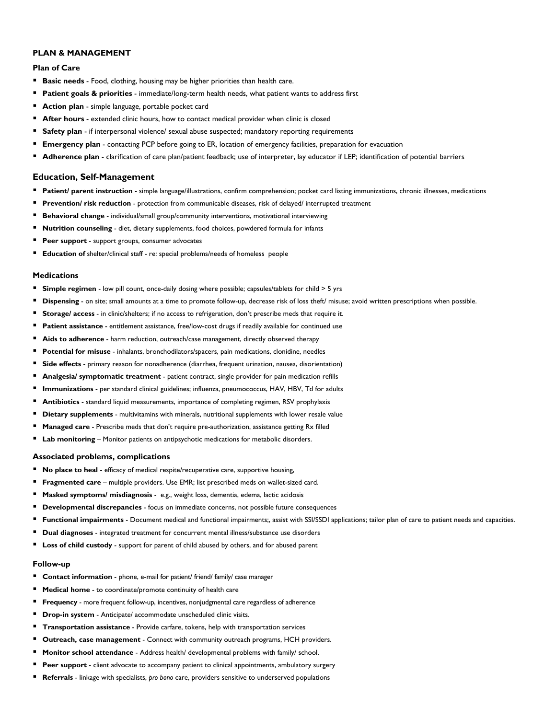# **PLAN & MANAGEMENT**

# **Plan of Care**

- **Basic needs** Food, clothing, housing may be higher priorities than health care.
- **Patient goals & priorities** immediate/long-term health needs, what patient wants to address first
- **Action plan** simple language, portable pocket card
- **After hours** extended clinic hours, how to contact medical provider when clinic is closed
- **Safety plan** if interpersonal violence/ sexual abuse suspected; mandatory reporting requirements
- **Emergency plan** contacting PCP before going to ER, location of emergency facilities, preparation for evacuation
- **Adherence plan** clarification of care plan/patient feedback; use of interpreter, lay educator if LEP; identification of potential barriers

### **Education, Self-Management**

- Patient/ parent instruction simple language/illustrations, confirm comprehension; pocket card listing immunizations, chronic illnesses, medications
- **Prevention/ risk reduction** protection from communicable diseases, risk of delayed/ interrupted treatment
- **Behavioral change** individual/small group/community interventions, motivational interviewing
- **Nutrition counseling** diet, dietary supplements, food choices, powdered formula for infants
- **Peer support** support groups, consumer advocates
- **Education of** shelter/clinical staff re: special problems/needs of homeless people

### **Medications**

- **Simple regimen** low pill count, once-daily dosing where possible; capsules/tablets for child > 5 yrs
- **Dispensing** on site; small amounts at a time to promote follow-up, decrease risk of loss theft/ misuse; avoid written prescriptions when possible.
- **Storage/ access** in clinic/shelters; if no access to refrigeration, don't prescribe meds that require it.
- Patient assistance entitlement assistance, free/low-cost drugs if readily available for continued use
- **Aids to adherence**  harm reduction, outreach/case management, directly observed therapy
- **Potential for misuse** inhalants, bronchodilators/spacers, pain medications, clonidine, needles
- **Side effects** primary reason for nonadherence (diarrhea, frequent urination, nausea, disorientation)
- **Analgesia/ symptomatic treatment** patient contract, single provider for pain medication refills
- **Immunizations** per standard clinical guidelines; influenza, pneumococcus, HAV, HBV, Td for adults
- **Antibiotics** standard liquid measurements, importance of completing regimen, RSV prophylaxis
- **Dietary supplements** multivitamins with minerals, nutritional supplements with lower resale value
- **Managed care** Prescribe meds that don't require pre-authorization, assistance getting Rx filled
- **Lab monitoring** Monitor patients on antipsychotic medications for metabolic disorders.

#### **Associated problems, complications**

- **No place to heal** efficacy of medical respite/recuperative care, supportive housing,
- **Fragmented care** multiple providers. Use EMR; list prescribed meds on wallet-sized card.
- **Masked symptoms/ misdiagnosis** e.g., weight loss, dementia, edema, lactic acidosis
- **Developmental discrepancies**  focus on immediate concerns, not possible future consequences
- **Functional impairments** Document medical and functional impairments;, assist with SSI/SSDI applications; tailor plan of care to patient needs and capacities.
- **Dual diagnoses**  integrated treatment for concurrent mental illness/substance use disorders
- **Loss of child custody** support for parent of child abused by others, and for abused parent

# **Follow-up**

- **Contact information** phone, e-mail for patient/ friend/ family/ case manager
- **Medical home** to coordinate/promote continuity of health care
- **Frequency** more frequent follow-up, incentives, nonjudgmental care regardless of adherence
- **Drop-in system** Anticipate/ accommodate unscheduled clinic visits.
- **Transportation assistance** Provide carfare, tokens, help with transportation services
- **Outreach, case management** Connect with community outreach programs, HCH providers.
- **Monitor school attendance**  Address health/ developmental problems with family/ school.
- **Peer support** client advocate to accompany patient to clinical appointments, ambulatory surgery
- **Referrals** linkage with specialists, *pro bono* care, providers sensitive to underserved populations